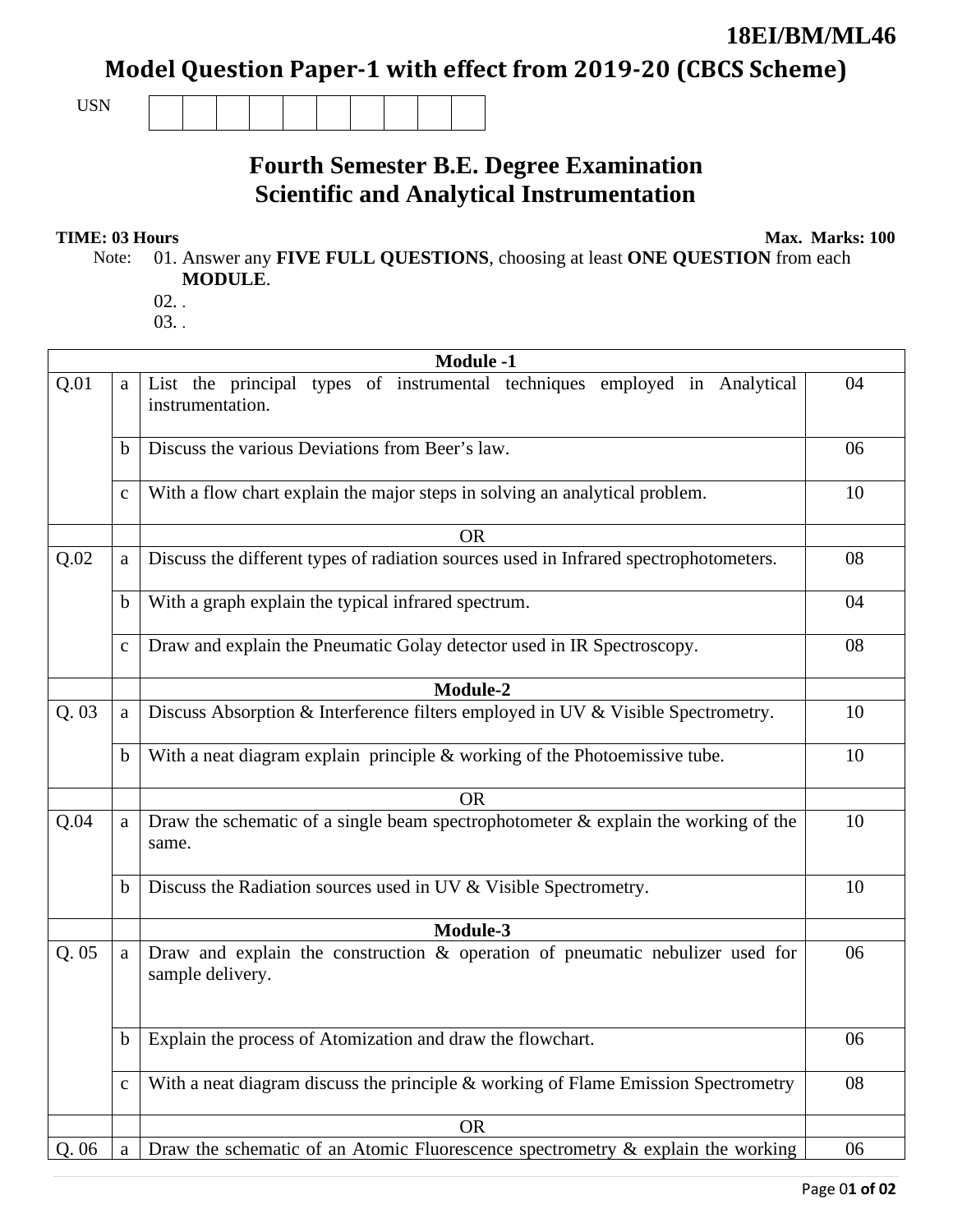## **18EI/BM/ML46**

Model Question Paper-1 with effect from 2019-20 (CBCS Scheme)

USN

## **Fourth Semester B.E. Degree Examination Scientific and Analytical Instrumentation**

**TIME: 03 Hours** Max. Marks: 100

Note: 01. Answer any **FIVE FULL QUESTIONS**, choosing at least **ONE QUESTION** from each **MODULE**.

 $02.$ 03. .

|      | <b>Module -1</b> |                                                                                                   |    |  |  |
|------|------------------|---------------------------------------------------------------------------------------------------|----|--|--|
| Q.01 | a                | List the principal types of instrumental techniques employed in Analytical<br>instrumentation.    | 04 |  |  |
|      | b                | Discuss the various Deviations from Beer's law.                                                   | 06 |  |  |
|      | $\mathbf{C}$     | With a flow chart explain the major steps in solving an analytical problem.                       | 10 |  |  |
|      |                  | <b>OR</b>                                                                                         |    |  |  |
| Q.02 | a                | Discuss the different types of radiation sources used in Infrared spectrophotometers.             | 08 |  |  |
|      | b                | With a graph explain the typical infrared spectrum.                                               | 04 |  |  |
|      | $\mathbf{C}$     | Draw and explain the Pneumatic Golay detector used in IR Spectroscopy.                            | 08 |  |  |
|      |                  | <b>Module-2</b>                                                                                   |    |  |  |
| Q.03 | a                | Discuss Absorption & Interference filters employed in UV & Visible Spectrometry.                  | 10 |  |  |
|      | $\mathbf b$      | With a neat diagram explain principle $&$ working of the Photoemissive tube.                      | 10 |  |  |
|      |                  | <b>OR</b>                                                                                         |    |  |  |
| Q.04 | a                | Draw the schematic of a single beam spectrophotometer $\&$ explain the working of the<br>same.    | 10 |  |  |
|      | b                | Discuss the Radiation sources used in UV & Visible Spectrometry.                                  | 10 |  |  |
|      |                  | Module-3                                                                                          |    |  |  |
| Q.05 | a                | Draw and explain the construction & operation of pneumatic nebulizer used for<br>sample delivery. | 06 |  |  |
|      | $\mathbf b$      | Explain the process of Atomization and draw the flowchart.                                        | 06 |  |  |
|      | $\mathbf C$      | With a neat diagram discuss the principle & working of Flame Emission Spectrometry                | 08 |  |  |
|      |                  | <b>OR</b>                                                                                         |    |  |  |
| Q.06 | $\mathbf{a}$     | Draw the schematic of an Atomic Fluorescence spectrometry & explain the working                   | 06 |  |  |